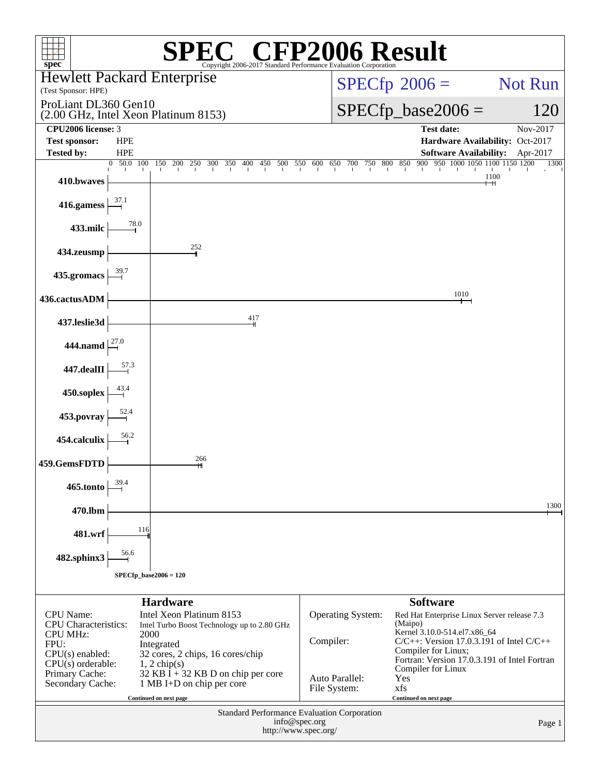| $spec^*$                                                                                                               |                                             |                                      |                                                                                                             | Copyright 2006-2017 Standard Performance Evaluation Corporation | $\mathbb{C}^{\circledast}$ CFP2006 Result |         |                                       |  |                                |                        |         |                                  |                   |                     |                              |                                                                |                                                                                                                                              |        |
|------------------------------------------------------------------------------------------------------------------------|---------------------------------------------|--------------------------------------|-------------------------------------------------------------------------------------------------------------|-----------------------------------------------------------------|-------------------------------------------|---------|---------------------------------------|--|--------------------------------|------------------------|---------|----------------------------------|-------------------|---------------------|------------------------------|----------------------------------------------------------------|----------------------------------------------------------------------------------------------------------------------------------------------|--------|
| <b>Hewlett Packard Enterprise</b>                                                                                      |                                             |                                      |                                                                                                             |                                                                 |                                           |         |                                       |  |                                | $SPECfp^{\circ}2006 =$ |         |                                  |                   |                     |                              |                                                                | Not Run                                                                                                                                      |        |
|                                                                                                                        | (Test Sponsor: HPE)<br>ProLiant DL360 Gen10 |                                      |                                                                                                             |                                                                 |                                           |         |                                       |  |                                |                        |         |                                  |                   |                     |                              |                                                                |                                                                                                                                              |        |
|                                                                                                                        | (2.00 GHz, Intel Xeon Platinum 8153)        |                                      |                                                                                                             |                                                                 |                                           |         |                                       |  | $SPECfp\_base2006 =$           |                        |         |                                  |                   |                     |                              |                                                                | 120                                                                                                                                          |        |
| CPU2006 license: 3<br><b>Test sponsor:</b>                                                                             | <b>HPE</b>                                  |                                      |                                                                                                             |                                                                 |                                           |         |                                       |  |                                |                        |         |                                  | <b>Test date:</b> |                     |                              |                                                                | Nov-2017<br>Hardware Availability: Oct-2017                                                                                                  |        |
| <b>Tested by:</b>                                                                                                      | <b>HPE</b>                                  |                                      |                                                                                                             |                                                                 |                                           |         |                                       |  |                                |                        |         |                                  |                   |                     |                              |                                                                | Software Availability: Apr-2017                                                                                                              |        |
| 410.bwaves                                                                                                             | 0 50.0 100                                  | 150                                  | 200<br>250                                                                                                  | 300<br>350                                                      | 400                                       | 450 500 | 550 600                               |  | 700<br>650                     |                        | 750 800 | 850                              |                   |                     |                              | 900 950 1000 1050 1100 1150 1200<br>$\mathbf{L}$<br>1100<br>⊣⊣ |                                                                                                                                              | 1300   |
| 416.gamess                                                                                                             | 37.1                                        |                                      |                                                                                                             |                                                                 |                                           |         |                                       |  |                                |                        |         |                                  |                   |                     |                              |                                                                |                                                                                                                                              |        |
| 433.milc                                                                                                               | 78.0                                        |                                      |                                                                                                             |                                                                 |                                           |         |                                       |  |                                |                        |         |                                  |                   |                     |                              |                                                                |                                                                                                                                              |        |
| 434.zeusmp                                                                                                             |                                             |                                      | 252                                                                                                         |                                                                 |                                           |         |                                       |  |                                |                        |         |                                  |                   |                     |                              |                                                                |                                                                                                                                              |        |
| 435.gromacs                                                                                                            |                                             |                                      |                                                                                                             |                                                                 |                                           |         |                                       |  |                                |                        |         |                                  |                   |                     |                              |                                                                |                                                                                                                                              |        |
| 436.cactusADM                                                                                                          |                                             |                                      |                                                                                                             |                                                                 |                                           |         |                                       |  |                                |                        |         |                                  |                   | 1010                |                              |                                                                |                                                                                                                                              |        |
| 437.leslie3d                                                                                                           |                                             |                                      |                                                                                                             |                                                                 | 417                                       |         |                                       |  |                                |                        |         |                                  |                   |                     |                              |                                                                |                                                                                                                                              |        |
| 444.namd                                                                                                               |                                             |                                      |                                                                                                             |                                                                 |                                           |         |                                       |  |                                |                        |         |                                  |                   |                     |                              |                                                                |                                                                                                                                              |        |
| 447.dealII                                                                                                             | 57.3                                        |                                      |                                                                                                             |                                                                 |                                           |         |                                       |  |                                |                        |         |                                  |                   |                     |                              |                                                                |                                                                                                                                              |        |
| 450.soplex                                                                                                             |                                             |                                      |                                                                                                             |                                                                 |                                           |         |                                       |  |                                |                        |         |                                  |                   |                     |                              |                                                                |                                                                                                                                              |        |
| 453.povray                                                                                                             | 52.4                                        |                                      |                                                                                                             |                                                                 |                                           |         |                                       |  |                                |                        |         |                                  |                   |                     |                              |                                                                |                                                                                                                                              |        |
| 454.calculix                                                                                                           | 56.2                                        |                                      |                                                                                                             |                                                                 |                                           |         |                                       |  |                                |                        |         |                                  |                   |                     |                              |                                                                |                                                                                                                                              |        |
| 459.GemsFDTD                                                                                                           |                                             |                                      | 266                                                                                                         |                                                                 |                                           |         |                                       |  |                                |                        |         |                                  |                   |                     |                              |                                                                |                                                                                                                                              |        |
| 465.tonto                                                                                                              | 39.4                                        |                                      |                                                                                                             |                                                                 |                                           |         |                                       |  |                                |                        |         |                                  |                   |                     |                              |                                                                |                                                                                                                                              |        |
| 470.lbm                                                                                                                |                                             |                                      |                                                                                                             |                                                                 |                                           |         |                                       |  |                                |                        |         |                                  |                   |                     |                              |                                                                |                                                                                                                                              | 1300   |
| 481.wrf                                                                                                                | 116                                         |                                      |                                                                                                             |                                                                 |                                           |         |                                       |  |                                |                        |         |                                  |                   |                     |                              |                                                                |                                                                                                                                              |        |
| 482.sphinx3                                                                                                            | 56.6                                        |                                      |                                                                                                             |                                                                 |                                           |         |                                       |  |                                |                        |         |                                  |                   |                     |                              |                                                                |                                                                                                                                              |        |
|                                                                                                                        | $SPECfp\_base2006 = 120$                    |                                      |                                                                                                             |                                                                 |                                           |         |                                       |  |                                |                        |         |                                  |                   |                     |                              |                                                                |                                                                                                                                              |        |
|                                                                                                                        |                                             | <b>Hardware</b>                      |                                                                                                             |                                                                 |                                           |         |                                       |  |                                |                        |         |                                  | <b>Software</b>   |                     |                              |                                                                |                                                                                                                                              |        |
| <b>CPU</b> Name:<br><b>CPU</b> Characteristics:<br><b>CPU MHz:</b><br>FPU:<br>$CPU(s)$ enabled:<br>$CPU(s)$ orderable: |                                             | 2000<br>Integrated<br>$1, 2$ chip(s) | Intel Xeon Platinum 8153<br>Intel Turbo Boost Technology up to 2.80 GHz<br>32 cores, 2 chips, 16 cores/chip |                                                                 |                                           |         |                                       |  | Operating System:<br>Compiler: |                        |         | (Maipo)                          |                   | Compiler for Linux; | Kernel 3.10.0-514.el7.x86_64 |                                                                | Red Hat Enterprise Linux Server release 7.3<br>$C/C++$ : Version 17.0.3.191 of Intel $C/C++$<br>Fortran: Version 17.0.3.191 of Intel Fortran |        |
| Primary Cache:<br>Secondary Cache:                                                                                     |                                             |                                      | 32 KB $\bar{I}$ + 32 KB D on chip per core<br>1 MB I+D on chip per core                                     |                                                                 |                                           |         |                                       |  | Auto Parallel:<br>File System: |                        |         | Compiler for Linux<br>Yes<br>xfs |                   |                     |                              |                                                                |                                                                                                                                              |        |
| Continued on next page<br>Continued on next page<br>Standard Performance Evaluation Corporation                        |                                             |                                      |                                                                                                             |                                                                 |                                           |         |                                       |  |                                |                        |         |                                  |                   |                     |                              |                                                                |                                                                                                                                              |        |
|                                                                                                                        |                                             |                                      |                                                                                                             |                                                                 |                                           |         | info@spec.org<br>http://www.spec.org/ |  |                                |                        |         |                                  |                   |                     |                              |                                                                |                                                                                                                                              | Page 1 |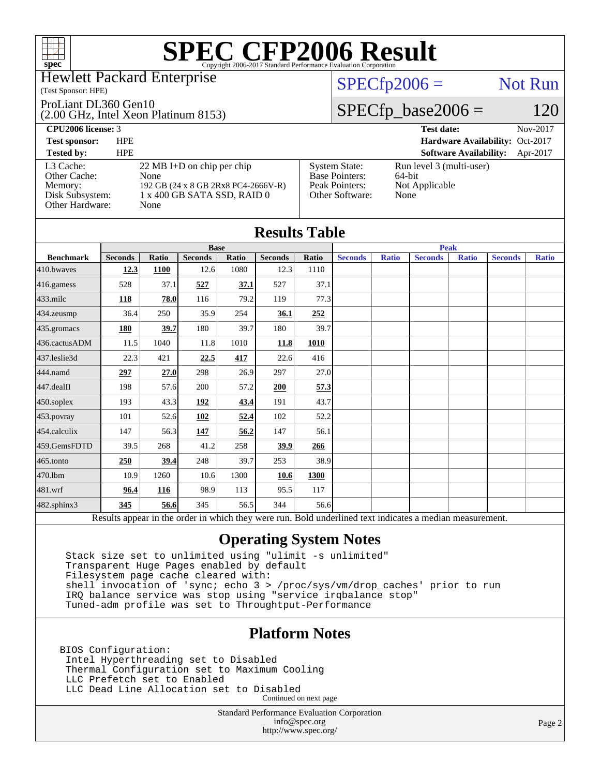## Hewlett Packard Enterprise

### (Test Sponsor: HPE)

### ProLiant DL360 Gen10

(2.00 GHz, Intel Xeon Platinum 8153)

# $SPECfp2006 =$  Not Run

## $SPECfp\_base2006 = 120$

| <b>CPU2006 license: 3</b>                                                  |                                                                                                                            |                                                                                    | <b>Test date:</b>                                            | Nov-2017 |
|----------------------------------------------------------------------------|----------------------------------------------------------------------------------------------------------------------------|------------------------------------------------------------------------------------|--------------------------------------------------------------|----------|
| <b>Test sponsor:</b>                                                       | <b>HPE</b>                                                                                                                 |                                                                                    | Hardware Availability: Oct-2017                              |          |
| <b>Tested by:</b>                                                          | <b>HPE</b>                                                                                                                 |                                                                                    | <b>Software Availability:</b>                                | Apr-2017 |
| L3 Cache:<br>Other Cache:<br>Memory:<br>Disk Subsystem:<br>Other Hardware: | $22 \text{ MB I+D}$ on chip per chip<br>None<br>192 GB (24 x 8 GB 2Rx8 PC4-2666V-R)<br>1 x 400 GB SATA SSD, RAID 0<br>None | <b>System State:</b><br><b>Base Pointers:</b><br>Peak Pointers:<br>Other Software: | Run level 3 (multi-user)<br>64-bit<br>Not Applicable<br>None |          |

|                  |                |              |                |       | <b>Results Table</b> |             |                |              |                                                                                                          |              |                |              |  |
|------------------|----------------|--------------|----------------|-------|----------------------|-------------|----------------|--------------|----------------------------------------------------------------------------------------------------------|--------------|----------------|--------------|--|
|                  | <b>Base</b>    |              |                |       |                      | <b>Peak</b> |                |              |                                                                                                          |              |                |              |  |
| <b>Benchmark</b> | <b>Seconds</b> | <b>Ratio</b> | <b>Seconds</b> | Ratio | <b>Seconds</b>       | Ratio       | <b>Seconds</b> | <b>Ratio</b> | <b>Seconds</b>                                                                                           | <b>Ratio</b> | <b>Seconds</b> | <b>Ratio</b> |  |
| $410$ .bwayes    | 12.3           | 1100         | 12.6           | 1080  | 12.3                 | 1110        |                |              |                                                                                                          |              |                |              |  |
| 416.gamess       | 528            | 37.1         | 527            | 37.1  | 527                  | 37.1        |                |              |                                                                                                          |              |                |              |  |
| $433$ .milc      | 118            | 78.0         | 116            | 79.2  | 119                  | 77.3        |                |              |                                                                                                          |              |                |              |  |
| $434$ . zeusmp   | 36.4           | 250          | 35.9           | 254   | 36.1                 | 252         |                |              |                                                                                                          |              |                |              |  |
| 435.gromacs      | 180            | 39.7         | 180            | 39.7  | 180                  | 39.7        |                |              |                                                                                                          |              |                |              |  |
| 436.cactusADM    | 11.5           | 1040         | 11.8           | 1010  | 11.8                 | 1010        |                |              |                                                                                                          |              |                |              |  |
| 437.leslie3d     | 22.3           | 421          | 22.5           | 417   | 22.6                 | 416         |                |              |                                                                                                          |              |                |              |  |
| 444.namd         | 297            | 27.0         | 298            | 26.9  | 297                  | 27.0        |                |              |                                                                                                          |              |                |              |  |
| $447$ .dealII    | 198            | 57.6         | 200            | 57.2  | 200                  | 57.3        |                |              |                                                                                                          |              |                |              |  |
| $450$ .soplex    | 193            | 43.3         | 192            | 43.4  | 191                  | 43.7        |                |              |                                                                                                          |              |                |              |  |
| 453.povray       | 101            | 52.6         | 102            | 52.4  | 102                  | 52.2        |                |              |                                                                                                          |              |                |              |  |
| 454.calculix     | 147            | 56.3         | <u>147</u>     | 56.2  | 147                  | 56.1        |                |              |                                                                                                          |              |                |              |  |
| 459.GemsFDTD     | 39.5           | 268          | 41.2           | 258   | 39.9                 | 266         |                |              |                                                                                                          |              |                |              |  |
| $465$ .tonto     | 250            | 39.4         | 248            | 39.7  | 253                  | 38.9        |                |              |                                                                                                          |              |                |              |  |
| 470.1bm          | 10.9           | 1260         | 10.6           | 1300  | 10.6                 | 1300        |                |              |                                                                                                          |              |                |              |  |
| 481.wrf          | 96.4           | <b>116</b>   | 98.9           | 113   | 95.5                 | 117         |                |              |                                                                                                          |              |                |              |  |
| 482.sphinx3      | 345            | 56.6         | 345            | 56.5  | 344                  | 56.6        |                |              |                                                                                                          |              |                |              |  |
|                  |                |              |                |       |                      |             |                |              | Results appear in the order in which they were run. Bold underlined text indicates a median measurement. |              |                |              |  |

## **[Operating System Notes](http://www.spec.org/auto/cpu2006/Docs/result-fields.html#OperatingSystemNotes)**

 Stack size set to unlimited using "ulimit -s unlimited" Transparent Huge Pages enabled by default Filesystem page cache cleared with: shell invocation of 'sync; echo 3 > /proc/sys/vm/drop\_caches' prior to run IRQ balance service was stop using "service irqbalance stop" Tuned-adm profile was set to Throughtput-Performance

## **[Platform Notes](http://www.spec.org/auto/cpu2006/Docs/result-fields.html#PlatformNotes)**

BIOS Configuration: Intel Hyperthreading set to Disabled Thermal Configuration set to Maximum Cooling LLC Prefetch set to Enabled LLC Dead Line Allocation set to Disabled Continued on next page

> Standard Performance Evaluation Corporation [info@spec.org](mailto:info@spec.org) <http://www.spec.org/>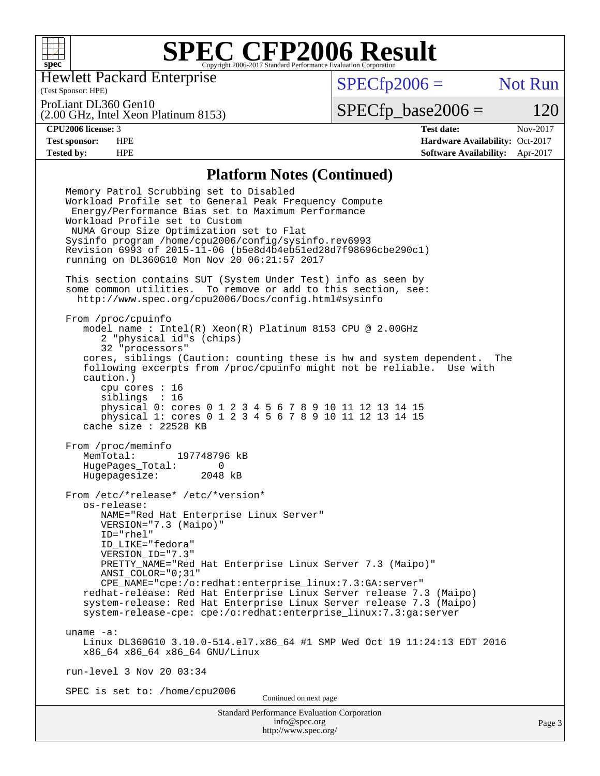

Hewlett Packard Enterprise

(Test Sponsor: HPE)

 $SPECfp2006 =$  Not Run

ProLiant DL360 Gen10

(2.00 GHz, Intel Xeon Platinum 8153)

 $SPECTp\_base2006 = 120$ 

**[CPU2006 license:](http://www.spec.org/auto/cpu2006/Docs/result-fields.html#CPU2006license)** 3 **[Test date:](http://www.spec.org/auto/cpu2006/Docs/result-fields.html#Testdate)** Nov-2017 **[Test sponsor:](http://www.spec.org/auto/cpu2006/Docs/result-fields.html#Testsponsor)** HPE **[Hardware Availability:](http://www.spec.org/auto/cpu2006/Docs/result-fields.html#HardwareAvailability)** Oct-2017 **[Tested by:](http://www.spec.org/auto/cpu2006/Docs/result-fields.html#Testedby)** HPE **[Software Availability:](http://www.spec.org/auto/cpu2006/Docs/result-fields.html#SoftwareAvailability)** Apr-2017

### **[Platform Notes \(Continued\)](http://www.spec.org/auto/cpu2006/Docs/result-fields.html#PlatformNotes)**

Standard Performance Evaluation Corporation [info@spec.org](mailto:info@spec.org) <http://www.spec.org/> Memory Patrol Scrubbing set to Disabled Workload Profile set to General Peak Frequency Compute Energy/Performance Bias set to Maximum Performance Workload Profile set to Custom NUMA Group Size Optimization set to Flat Sysinfo program /home/cpu2006/config/sysinfo.rev6993 Revision 6993 of 2015-11-06 (b5e8d4b4eb51ed28d7f98696cbe290c1) running on DL360G10 Mon Nov 20 06:21:57 2017 This section contains SUT (System Under Test) info as seen by some common utilities. To remove or add to this section, see: <http://www.spec.org/cpu2006/Docs/config.html#sysinfo> From /proc/cpuinfo model name : Intel(R) Xeon(R) Platinum 8153 CPU @ 2.00GHz 2 "physical id"s (chips) 32 "processors" cores, siblings (Caution: counting these is hw and system dependent. The following excerpts from /proc/cpuinfo might not be reliable. Use with caution.) cpu cores : 16 siblings : 16 physical 0: cores 0 1 2 3 4 5 6 7 8 9 10 11 12 13 14 15 physical 1: cores 0 1 2 3 4 5 6 7 8 9 10 11 12 13 14 15 cache size : 22528 KB From /proc/meminfo<br>MemTotal: 197748796 kB MemTotal: HugePages\_Total: 0 Hugepagesize: 2048 kB From /etc/\*release\* /etc/\*version\* os-release: NAME="Red Hat Enterprise Linux Server" VERSION="7.3 (Maipo)" ID="rhel" ID\_LIKE="fedora" VERSION\_ID="7.3" PRETTY\_NAME="Red Hat Enterprise Linux Server 7.3 (Maipo)" ANSI\_COLOR="0;31" CPE\_NAME="cpe:/o:redhat:enterprise\_linux:7.3:GA:server" redhat-release: Red Hat Enterprise Linux Server release 7.3 (Maipo) system-release: Red Hat Enterprise Linux Server release 7.3 (Maipo) system-release-cpe: cpe:/o:redhat:enterprise\_linux:7.3:ga:server uname -a: Linux DL360G10 3.10.0-514.el7.x86\_64 #1 SMP Wed Oct 19 11:24:13 EDT 2016 x86\_64 x86\_64 x86\_64 GNU/Linux run-level 3 Nov 20 03:34 SPEC is set to: /home/cpu2006 Continued on next page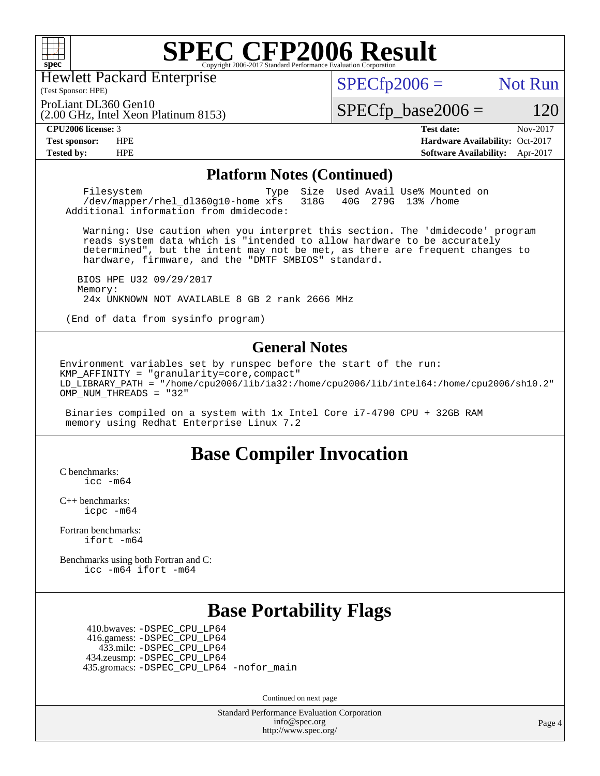

Hewlett Packard Enterprise

(Test Sponsor: HPE)

 $SPECTp2006 =$  Not Run

(2.00 GHz, Intel Xeon Platinum 8153) ProLiant DL360 Gen10

 $SPECfp\_base2006 = 120$ 

**[CPU2006 license:](http://www.spec.org/auto/cpu2006/Docs/result-fields.html#CPU2006license)** 3 **[Test date:](http://www.spec.org/auto/cpu2006/Docs/result-fields.html#Testdate)** Nov-2017 **[Test sponsor:](http://www.spec.org/auto/cpu2006/Docs/result-fields.html#Testsponsor)** HPE **[Hardware Availability:](http://www.spec.org/auto/cpu2006/Docs/result-fields.html#HardwareAvailability)** Oct-2017 **[Tested by:](http://www.spec.org/auto/cpu2006/Docs/result-fields.html#Testedby)** HPE **[Software Availability:](http://www.spec.org/auto/cpu2006/Docs/result-fields.html#SoftwareAvailability)** Apr-2017

### **[Platform Notes \(Continued\)](http://www.spec.org/auto/cpu2006/Docs/result-fields.html#PlatformNotes)**

Filesystem Type Size Used Avail Use% Mounted on<br>
/dev/mapper/rhel dl360g10-home xfs 318G 40G 279G 13% /home /dev/mapper/rhel\_dl360q10-home xfs Additional information from dmidecode:

 Warning: Use caution when you interpret this section. The 'dmidecode' program reads system data which is "intended to allow hardware to be accurately determined", but the intent may not be met, as there are frequent changes to hardware, firmware, and the "DMTF SMBIOS" standard.

 BIOS HPE U32 09/29/2017 Memory: 24x UNKNOWN NOT AVAILABLE 8 GB 2 rank 2666 MHz

(End of data from sysinfo program)

### **[General Notes](http://www.spec.org/auto/cpu2006/Docs/result-fields.html#GeneralNotes)**

Environment variables set by runspec before the start of the run: KMP\_AFFINITY = "granularity=core,compact" LD\_LIBRARY\_PATH = "/home/cpu2006/lib/ia32:/home/cpu2006/lib/intel64:/home/cpu2006/sh10.2" OMP\_NUM\_THREADS = "32"

 Binaries compiled on a system with 1x Intel Core i7-4790 CPU + 32GB RAM memory using Redhat Enterprise Linux 7.2

# **[Base Compiler Invocation](http://www.spec.org/auto/cpu2006/Docs/result-fields.html#BaseCompilerInvocation)**

[C benchmarks](http://www.spec.org/auto/cpu2006/Docs/result-fields.html#Cbenchmarks): [icc -m64](http://www.spec.org/cpu2006/results/res2017q4/cpu2006-20171128-50860.flags.html#user_CCbase_intel_icc_64bit_bda6cc9af1fdbb0edc3795bac97ada53)

[C++ benchmarks:](http://www.spec.org/auto/cpu2006/Docs/result-fields.html#CXXbenchmarks) [icpc -m64](http://www.spec.org/cpu2006/results/res2017q4/cpu2006-20171128-50860.flags.html#user_CXXbase_intel_icpc_64bit_fc66a5337ce925472a5c54ad6a0de310)

[Fortran benchmarks](http://www.spec.org/auto/cpu2006/Docs/result-fields.html#Fortranbenchmarks): [ifort -m64](http://www.spec.org/cpu2006/results/res2017q4/cpu2006-20171128-50860.flags.html#user_FCbase_intel_ifort_64bit_ee9d0fb25645d0210d97eb0527dcc06e)

[Benchmarks using both Fortran and C](http://www.spec.org/auto/cpu2006/Docs/result-fields.html#BenchmarksusingbothFortranandC): [icc -m64](http://www.spec.org/cpu2006/results/res2017q4/cpu2006-20171128-50860.flags.html#user_CC_FCbase_intel_icc_64bit_bda6cc9af1fdbb0edc3795bac97ada53) [ifort -m64](http://www.spec.org/cpu2006/results/res2017q4/cpu2006-20171128-50860.flags.html#user_CC_FCbase_intel_ifort_64bit_ee9d0fb25645d0210d97eb0527dcc06e)

# **[Base Portability Flags](http://www.spec.org/auto/cpu2006/Docs/result-fields.html#BasePortabilityFlags)**

 410.bwaves: [-DSPEC\\_CPU\\_LP64](http://www.spec.org/cpu2006/results/res2017q4/cpu2006-20171128-50860.flags.html#suite_basePORTABILITY410_bwaves_DSPEC_CPU_LP64) 416.gamess: [-DSPEC\\_CPU\\_LP64](http://www.spec.org/cpu2006/results/res2017q4/cpu2006-20171128-50860.flags.html#suite_basePORTABILITY416_gamess_DSPEC_CPU_LP64) 433.milc: [-DSPEC\\_CPU\\_LP64](http://www.spec.org/cpu2006/results/res2017q4/cpu2006-20171128-50860.flags.html#suite_basePORTABILITY433_milc_DSPEC_CPU_LP64) 434.zeusmp: [-DSPEC\\_CPU\\_LP64](http://www.spec.org/cpu2006/results/res2017q4/cpu2006-20171128-50860.flags.html#suite_basePORTABILITY434_zeusmp_DSPEC_CPU_LP64) 435.gromacs: [-DSPEC\\_CPU\\_LP64](http://www.spec.org/cpu2006/results/res2017q4/cpu2006-20171128-50860.flags.html#suite_basePORTABILITY435_gromacs_DSPEC_CPU_LP64) [-nofor\\_main](http://www.spec.org/cpu2006/results/res2017q4/cpu2006-20171128-50860.flags.html#user_baseLDPORTABILITY435_gromacs_f-nofor_main)

Continued on next page

Standard Performance Evaluation Corporation [info@spec.org](mailto:info@spec.org) <http://www.spec.org/>